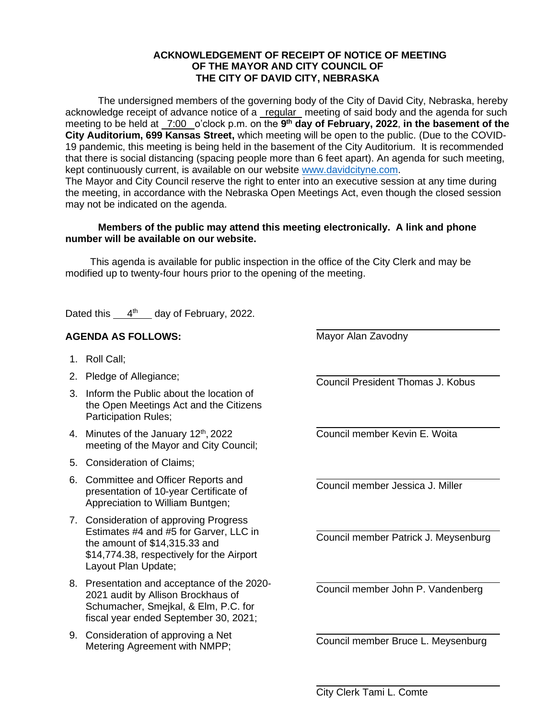## **ACKNOWLEDGEMENT OF RECEIPT OF NOTICE OF MEETING OF THE MAYOR AND CITY COUNCIL OF THE CITY OF DAVID CITY, NEBRASKA**

The undersigned members of the governing body of the City of David City, Nebraska, hereby acknowledge receipt of advance notice of a regular meeting of said body and the agenda for such meeting to be held at \_7:00 \_o'clock p.m. on the 9<sup>th</sup> day of February, 2022, in the basement of the **City Auditorium, 699 Kansas Street,** which meeting will be open to the public. (Due to the COVID-19 pandemic, this meeting is being held in the basement of the City Auditorium. It is recommended that there is social distancing (spacing people more than 6 feet apart). An agenda for such meeting, kept continuously current, is available on our website [www.davidcityne.com.](https://urldefense.proofpoint.com/v2/url?u=http-3A__www.davidcityne.com&d=DwMFAg&c=UCja3IwhyjPGYeHcG7oIbg&r=sTF4AptKcZUvAdPZH__AgXD7wYT5PTsm1dL8p3vwYO4&m=H_1JksRqSJf69XA0HV8uDjtaNsM1PhWMo-DkTNHrSaE&s=wLyFni_YrhiWLHduEQzSflZL77e5AtnnCpVJ-weajcE&e=) The Mayor and City Council reserve the right to enter into an executive session at any time during the meeting, in accordance with the Nebraska Open Meetings Act, even though the closed session may not be indicated on the agenda.

## **Members of the public may attend this meeting electronically. A link and phone number will be available on our website.**

This agenda is available for public inspection in the office of the City Clerk and may be modified up to twenty-four hours prior to the opening of the meeting.

Dated this  $4^{th}$  day of February, 2022.

## **AGENDA AS FOLLOWS:**

- 1. Roll Call;
- 2. Pledge of Allegiance;
- 3. Inform the Public about the location of the Open Meetings Act and the Citizens Participation Rules;
- 4. Minutes of the January 12<sup>th</sup>, 2022 meeting of the Mayor and City Council;
- 5. Consideration of Claims;
- 6. Committee and Officer Reports and presentation of 10-year Certificate of Appreciation to William Buntgen;
- 7. Consideration of approving Progress Estimates #4 and #5 for Garver, LLC in the amount of \$14,315.33 and \$14,774.38, respectively for the Airport Layout Plan Update;
- 8. Presentation and acceptance of the 2020- 2021 audit by Allison Brockhaus of Schumacher, Smejkal, & Elm, P.C. for fiscal year ended September 30, 2021;
- 9. Consideration of approving a Net Metering Agreement with NMPP;

Mayor Alan Zavodny

Council President Thomas J. Kobus

 $\overline{a}$ 

Council member Kevin E. Woita

Council member Jessica J. Miller

Council member Patrick J. Meysenburg

Council member John P. Vandenberg

Council member Bruce L. Meysenburg